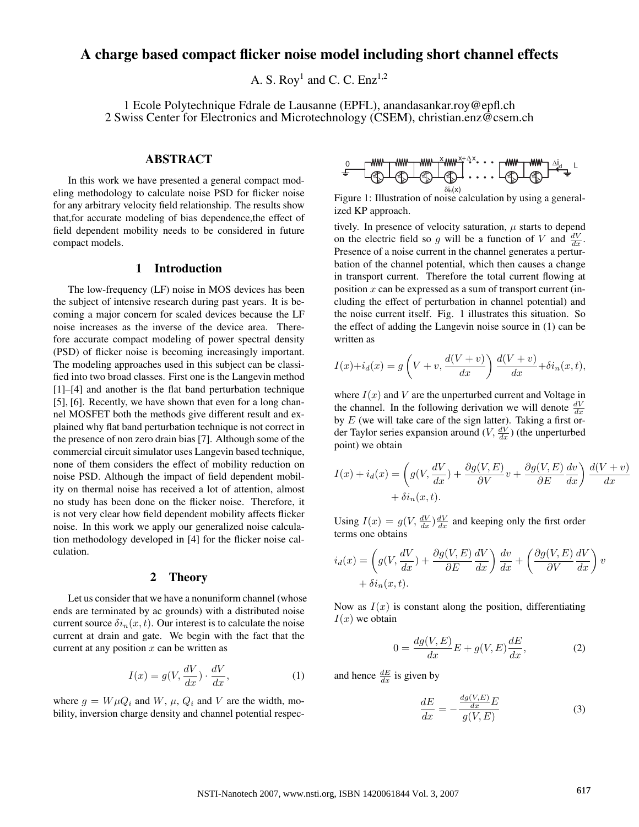# A charge based compact flicker noise model including short channel effects

A. S. Roy<sup>1</sup> and C. C. Enz<sup>1,2</sup>

1 Ecole Polytechnique Fdrale de Lausanne (EPFL), anandasankar.roy@epfl.ch 2 Swiss Center for Electronics and Microtechnology (CSEM), christian.enz@csem.ch

## ABSTRACT

In this work we have presented a general compact modeling methodology to calculate noise PSD for flicker noise for any arbitrary velocity field relationship. The results show that,for accurate modeling of bias dependence,the effect of field dependent mobility needs to be considered in future compact models.

## 1 Introduction

The low-frequency (LF) noise in MOS devices has been the subject of intensive research during past years. It is becoming a major concern for scaled devices because the LF noise increases as the inverse of the device area. Therefore accurate compact modeling of power spectral density (PSD) of flicker noise is becoming increasingly important. The modeling approaches used in this subject can be classified into two broad classes. First one is the Langevin method [1]–[4] and another is the flat band perturbation technique [5], [6]. Recently, we have shown that even for a long channel MOSFET both the methods give different result and explained why flat band perturbation technique is not correct in the presence of non zero drain bias [7]. Although some of the commercial circuit simulator uses Langevin based technique, none of them considers the effect of mobility reduction on noise PSD. Although the impact of field dependent mobility on thermal noise has received a lot of attention, almost no study has been done on the flicker noise. Therefore, it is not very clear how field dependent mobility affects flicker noise. In this work we apply our generalized noise calculation methodology developed in [4] for the flicker noise calculation.

### 2 Theory

Let us consider that we have a nonuniform channel (whose ends are terminated by ac grounds) with a distributed noise current source  $\delta i_n(x, t)$ . Our interest is to calculate the noise current at drain and gate. We begin with the fact that the current at any position  $x$  can be written as

$$
I(x) = g(V, \frac{dV}{dx}) \cdot \frac{dV}{dx},\tag{1}
$$

where  $g = W \mu Q_i$  and W,  $\mu$ ,  $Q_i$  and V are the width, mobility, inversion charge density and channel potential respec-

$$
\begin{array}{ccc}\n0 & \text{num} & \text{num} & \text{num} \\
\hline\n\end{array}
$$

Figure 1: Illustration of noise calculation by using a generalized KP approach.

tively. In presence of velocity saturation,  $\mu$  starts to depend on the electric field so g will be a function of V and  $\frac{dV}{dx}$ . Presence of a noise current in the channel generates a perturbation of the channel potential, which then causes a change in transport current. Therefore the total current flowing at position  $x$  can be expressed as a sum of transport current (including the effect of perturbation in channel potential) and the noise current itself. Fig. 1 illustrates this situation. So the effect of adding the Langevin noise source in (1) can be written as

$$
I(x) + i_d(x) = g\left(V + v, \frac{d(V + v)}{dx}\right) \frac{d(V + v)}{dx} + \delta i_n(x, t),
$$

where  $I(x)$  and V are the unperturbed current and Voltage in the channel. In the following derivation we will denote  $\frac{dV}{dx}$ by  $E$  (we will take care of the sign latter). Taking a first order Taylor series expansion around  $(V, \frac{dV}{dx})$  (the unperturbed point) we obtain

$$
I(x) + i_d(x) = \left( g(V, \frac{dV}{dx}) + \frac{\partial g(V, E)}{\partial V} v + \frac{\partial g(V, E)}{\partial E} \frac{dv}{dx} \right) \frac{d(V + v)}{dx}
$$
  
+  $\delta i_n(x, t)$ .

Using  $I(x) = g(V, \frac{dV}{dx}) \frac{dV}{dx}$  and keeping only the first order terms one obtains

$$
i_d(x) = \left(g(V, \frac{dV}{dx}) + \frac{\partial g(V, E)}{\partial E} \frac{dV}{dx}\right) \frac{dv}{dx} + \left(\frac{\partial g(V, E)}{\partial V} \frac{dV}{dx}\right)v + \delta i_n(x, t).
$$

Now as  $I(x)$  is constant along the position, differentiating  $I(x)$  we obtain

$$
0 = \frac{dg(V, E)}{dx}E + g(V, E)\frac{dE}{dx},
$$
\n(2)

and hence  $\frac{dE}{dx}$  is given by

$$
\frac{dE}{dx} = -\frac{\frac{dg(V,E)}{dx}E}{g(V,E)}\tag{3}
$$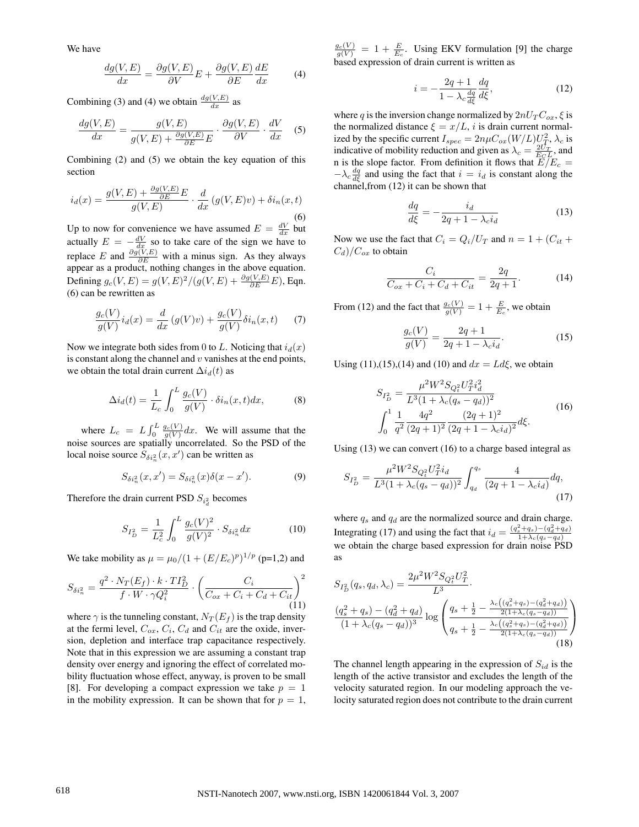We have

$$
\frac{dg(V,E)}{dx} = \frac{\partial g(V,E)}{\partial V}E + \frac{\partial g(V,E)}{\partial E}\frac{dE}{dx}
$$
 (4)

Combining (3) and (4) we obtain  $\frac{dg(V,E)}{dx}$  as

$$
\frac{dg(V, E)}{dx} = \frac{g(V, E)}{g(V, E) + \frac{\partial g(V, E)}{\partial E}E} \cdot \frac{\partial g(V, E)}{\partial V} \cdot \frac{dV}{dx}
$$
 (5)

Combining (2) and (5) we obtain the key equation of this section

$$
i_d(x) = \frac{g(V, E) + \frac{\partial g(V, E)}{\partial E}E}{g(V, E)} \cdot \frac{d}{dx} (g(V, E)v) + \delta i_n(x, t)
$$
\n(6)

Up to now for convenience we have assumed  $E = \frac{dV}{dx}$  but actually  $E = -\frac{dV}{dx}$  so to take care of the sign we have to replace E and  $\frac{\partial g(V, E)}{\partial E}$  with a minus sign. As they always appear as a product, nothing changes in the above equation. Defining  $g_c(V, E) = g(V, E)^2 / (g(V, E) + \frac{\partial g(V, E)}{\partial E} E)$ , Eqn. (6) can be rewritten as

$$
\frac{g_c(V)}{g(V)}i_d(x) = \frac{d}{dx}\left(g(V)v\right) + \frac{g_c(V)}{g(V)}\delta i_n(x,t) \tag{7}
$$

Now we integrate both sides from 0 to L. Noticing that  $i_d(x)$ is constant along the channel and  $v$  vanishes at the end points, we obtain the total drain current  $\Delta i_d(t)$  as

$$
\Delta i_d(t) = \frac{1}{L_c} \int_0^L \frac{g_c(V)}{g(V)} \cdot \delta i_n(x, t) dx, \tag{8}
$$

where  $L_c = L \int_0^L$  $\int_0^L \frac{g_c(V)}{g(V)} dx$ . We will assume that the noise sources are spatially uncorrelated. So the PSD of the local noise source  $S_{\delta i_n^2}(x, x')$  can be written as

$$
S_{\delta i_n^2}(x, x') = S_{\delta i_n^2}(x)\delta(x - x'). \tag{9}
$$

Therefore the drain current PSD  $S_{i_d}^2$  becomes

$$
S_{I_D^2} = \frac{1}{L_c^2} \int_0^L \frac{g_c(V)^2}{g(V)^2} \cdot S_{\delta i_n^2} dx \tag{10}
$$

We take mobility as  $\mu = \mu_0/(1 + (E/E_c)^p)^{1/p}$  (p=1,2) and

$$
S_{\delta i_n^2} = \frac{q^2 \cdot N_T(E_f) \cdot k \cdot TI_D^2}{f \cdot W \cdot \gamma Q_i^2} \cdot \left(\frac{C_i}{C_{ox} + C_i + C_d + C_{it}}\right)^2
$$
\n(11)

where  $\gamma$  is the tunneling constant,  $N_T(E_f)$  is the trap density at the fermi level,  $C_{ox}$ ,  $C_i$ ,  $C_d$  and  $C_{it}$  are the oxide, inversion, depletion and interface trap capacitance respectively. Note that in this expression we are assuming a constant trap density over energy and ignoring the effect of correlated mobility fluctuation whose effect, anyway, is proven to be small [8]. For developing a compact expression we take  $p = 1$ in the mobility expression. It can be shown that for  $p = 1$ ,

 $\frac{g_c(V)}{g(V)} = 1 + \frac{E}{E_c}$ . Using EKV formulation [9] the charge based expression of drain current is written as

$$
i = -\frac{2q+1}{1-\lambda_c \frac{dq}{d\xi}} \frac{dq}{d\xi},\tag{12}
$$

where q is the inversion change normalized by  $2nU<sub>T</sub>C<sub>ox</sub>$ ,  $\xi$  is the normalized distance  $\xi = x/L$ , i is drain current normalized by the specific current  $I_{spec} = 2n\mu C_{ox}(W/L)U_T^2$ ,  $\lambda_c$  is indicative of mobility reduction and given as  $\lambda_c = \frac{2U_T}{E_C L}$ , and n is the slope factor. From definition it flows that  $\overline{E}/E_c =$  $-\lambda_c \frac{dq}{d\xi}$  and using the fact that  $i = i_d$  is constant along the channel,from (12) it can be shown that

$$
\frac{dq}{d\xi} = -\frac{i_d}{2q + 1 - \lambda_c i_d} \tag{13}
$$

Now we use the fact that  $C_i = Q_i/U_T$  and  $n = 1 + (C_{it} +$  $C_d$ )/ $C_{ox}$  to obtain

$$
\frac{C_i}{C_{ox} + C_i + C_d + C_{it}} = \frac{2q}{2q + 1}.
$$
 (14)

From (12) and the fact that  $\frac{g_c(V)}{g(V)} = 1 + \frac{E}{E_c}$ , we obtain

$$
\frac{g_c(V)}{g(V)} = \frac{2q+1}{2q+1 - \lambda_c i_d}.
$$
\n(15)

Using (11),(15),(14) and (10) and  $dx = Ld\xi$ , we obtain

$$
S_{I_D^2} = \frac{\mu^2 W^2 S_{Q_i^2} U_T^2 i_d^2}{L^3 (1 + \lambda_c (q_s - q_d))^2}
$$
  

$$
\int_0^1 \frac{1}{q^2} \frac{4q^2}{(2q+1)^2} \frac{(2q+1)^2}{(2q+1 - \lambda_c i_d)^2} d\xi.
$$
 (16)

Using (13) we can convert (16) to a charge based integral as

$$
S_{I_D^2} = \frac{\mu^2 W^2 S_{Q_t^2} U_T^2 i_d}{L^3 (1 + \lambda_c (q_s - q_d))^2} \int_{q_d}^{q_s} \frac{4}{(2q + 1 - \lambda_c i_d)} dq,
$$
\n(17)

where  $q_s$  and  $q_d$  are the normalized source and drain charge. Integrating (17) and using the fact that  $i_d = \frac{(q_s^2 + q_s) - (q_d^2 + q_d)}{1 + \lambda_c (q_s - q_d)}$ we obtain the charge based expression for drain noise PSD as

$$
S_{I_D^2}(q_s, q_d, \lambda_c) = \frac{2\mu^2 W^2 S_{Q_t^2} U_T^2}{L^3} \cdot \frac{\left(q_s^2 + q_s\right) - \left(q_d^2 + q_d\right)}{\left(1 + \lambda_c (q_s - q_d)\right)^3} \log \left(\frac{q_s + \frac{1}{2} - \frac{\lambda_c \left(\left(q_s^2 + q_s\right) - \left(q_d^2 + q_d\right)\right)}{2\left(1 + \lambda_c (q_s - q_d)\right)}}{\left(q_s + \frac{1}{2} - \frac{\lambda_c \left(\left(q_s^2 + q_s\right) - \left(q_d^2 + q_d\right)\right)}{2\left(1 + \lambda_c (q_s - q_d)\right)}}\right)\right)
$$
\n(18)

The channel length appearing in the expression of  $S_{id}$  is the length of the active transistor and excludes the length of the velocity saturated region. In our modeling approach the velocity saturated region does not contribute to the drain current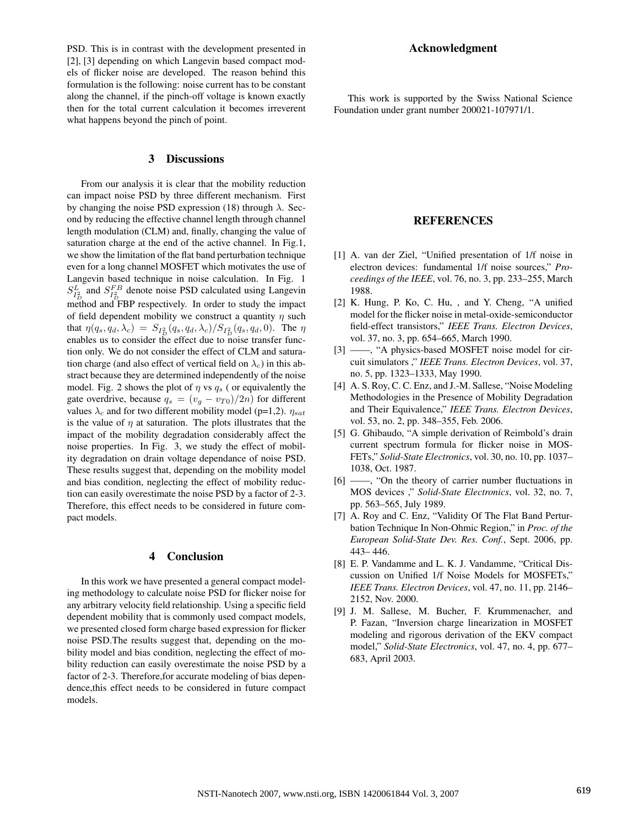PSD. This is in contrast with the development presented in [2], [3] depending on which Langevin based compact models of flicker noise are developed. The reason behind this formulation is the following: noise current has to be constant along the channel, if the pinch-off voltage is known exactly then for the total current calculation it becomes irreverent what happens beyond the pinch of point.

#### 3 Discussions

From our analysis it is clear that the mobility reduction can impact noise PSD by three different mechanism. First by changing the noise PSD expression (18) through  $\lambda$ . Second by reducing the effective channel length through channel length modulation (CLM) and, finally, changing the value of saturation charge at the end of the active channel. In Fig.1, we show the limitation of the flat band perturbation technique even for a long channel MOSFET which motivates the use of Langevin based technique in noise calculation. In Fig. 1  $S_{I_D^2}^L$  and  $S_{I_D^2}^{FB}$  denote noise PSD calculated using Langevin method and FBP respectively. In order to study the impact of field dependent mobility we construct a quantity  $\eta$  such that  $\eta(q_s, q_d, \lambda_c) = S_{I_D^2}(q_s, q_d, \lambda_c) / S_{I_D^2}(q_s, q_d, 0)$ . The  $\eta$ enables us to consider the effect due to noise transfer function only. We do not consider the effect of CLM and saturation charge (and also effect of vertical field on  $\lambda_c$ ) in this abstract because they are determined independently of the noise model. Fig. 2 shows the plot of  $\eta$  vs  $q_s$  ( or equivalently the gate overdrive, because  $q_s = (v_g - v_{T0})/2n$  for different values  $\lambda_c$  and for two different mobility model (p=1,2).  $\eta_{sat}$ is the value of  $\eta$  at saturation. The plots illustrates that the impact of the mobility degradation considerably affect the noise properties. In Fig. 3, we study the effect of mobility degradation on drain voltage dependance of noise PSD. These results suggest that, depending on the mobility model and bias condition, neglecting the effect of mobility reduction can easily overestimate the noise PSD by a factor of 2-3. Therefore, this effect needs to be considered in future compact models.

## 4 Conclusion

In this work we have presented a general compact modeling methodology to calculate noise PSD for flicker noise for any arbitrary velocity field relationship. Using a specific field dependent mobility that is commonly used compact models, we presented closed form charge based expression for flicker noise PSD.The results suggest that, depending on the mobility model and bias condition, neglecting the effect of mobility reduction can easily overestimate the noise PSD by a factor of 2-3. Therefore,for accurate modeling of bias dependence,this effect needs to be considered in future compact models.

#### Acknowledgment

This work is supported by the Swiss National Science Foundation under grant number 200021-107971/1.

## **REFERENCES**

- [1] A. van der Ziel, "Unified presentation of 1/f noise in electron devices: fundamental 1/f noise sources," *Proceedings of the IEEE*, vol. 76, no. 3, pp. 233–255, March 1988.
- [2] K. Hung, P. Ko, C. Hu, , and Y. Cheng, "A unified model for the flicker noise in metal-oxide-semiconductor field-effect transistors," *IEEE Trans. Electron Devices*, vol. 37, no. 3, pp. 654–665, March 1990.
- [3] ——, "A physics-based MOSFET noise model for circuit simulators ," *IEEE Trans. Electron Devices*, vol. 37, no. 5, pp. 1323–1333, May 1990.
- [4] A. S. Roy, C. C. Enz, and J.-M. Sallese, "Noise Modeling Methodologies in the Presence of Mobility Degradation and Their Equivalence," *IEEE Trans. Electron Devices*, vol. 53, no. 2, pp. 348–355, Feb. 2006.
- [5] G. Ghibaudo, "A simple derivation of Reimbold's drain current spectrum formula for flicker noise in MOS-FETs," *Solid-State Electronics*, vol. 30, no. 10, pp. 1037– 1038, Oct. 1987.
- [6] ——, "On the theory of carrier number fluctuations in MOS devices ," *Solid-State Electronics*, vol. 32, no. 7, pp. 563–565, July 1989.
- [7] A. Roy and C. Enz, "Validity Of The Flat Band Perturbation Technique In Non-Ohmic Region," in *Proc. of the European Solid-State Dev. Res. Conf.*, Sept. 2006, pp. 443– 446.
- [8] E. P. Vandamme and L. K. J. Vandamme, "Critical Discussion on Unified 1/f Noise Models for MOSFETs," *IEEE Trans. Electron Devices*, vol. 47, no. 11, pp. 2146– 2152, Nov. 2000.
- [9] J. M. Sallese, M. Bucher, F. Krummenacher, and P. Fazan, "Inversion charge linearization in MOSFET modeling and rigorous derivation of the EKV compact model," *Solid-State Electronics*, vol. 47, no. 4, pp. 677– 683, April 2003.